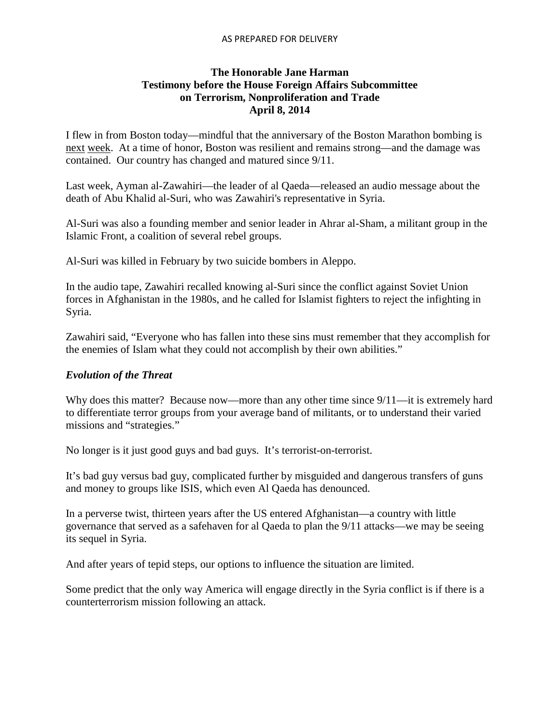#### AS PREPARED FOR DELIVERY

#### **The Honorable Jane Harman Testimony before the House Foreign Affairs Subcommittee on Terrorism, Nonproliferation and Trade April 8, 2014**

I flew in from Boston today—mindful that the anniversary of the Boston Marathon bombing is next week. At a time of honor, Boston was resilient and remains strong—and the damage was contained. Our country has changed and matured since 9/11.

Last week, Ayman al-Zawahiri—the leader of al Qaeda—released an audio message about the death of Abu Khalid al-Suri, who was Zawahiri's representative in Syria.

Al-Suri was also a [founding member and senior leader in Ahrar al-Sham,](http://www.longwarjournal.org/archives/2013/12/aq_courier_rebel_leader_zawahiri.php) a militant group in the Islamic Front, a coalition of several rebel groups.

Al-Suri was killed in February by two suicide bombers in Aleppo.

In the audio tape, Zawahiri recalled knowing al-Suri since the conflict against Soviet Union forces in [Afghanistan](http://www.reuters.com/places/afghanistan?lc=int_mb_1001) in the 1980s, and he called for Islamist fighters to reject the infighting in Syria.

Zawahiri said, "Everyone who has fallen into these sins must remember that they accomplish for the enemies of Islam what they could not accomplish by their own abilities."

## *Evolution of the Threat*

Why does this matter? Because now—more than any other time since  $9/11$ —it is extremely hard to differentiate terror groups from your average band of militants, or to understand their varied missions and "strategies."

No longer is it just good guys and bad guys. It's terrorist-on-terrorist.

It's bad guy versus bad guy, complicated further by misguided and dangerous transfers of guns and money to groups like ISIS, which even Al Qaeda has denounced.

In a perverse twist, thirteen years after the US entered Afghanistan—a country with little governance that served as a safehaven for al Qaeda to plan the 9/11 attacks—we may be seeing its sequel in Syria.

And after years of tepid steps, our options to influence the situation are limited.

Some predict that the only way America will engage directly in the Syria conflict is if there is a counterterrorism mission following an attack.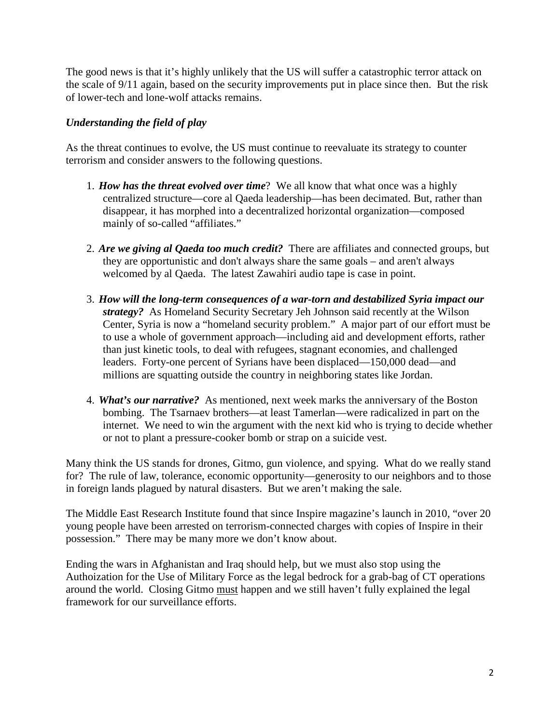The good news is that it's highly unlikely that the US will suffer a catastrophic terror attack on the scale of 9/11 again, based on the security improvements put in place since then. But the risk of lower-tech and lone-wolf attacks remains.

# *Understanding the field of play*

As the threat continues to evolve, the US must continue to reevaluate its strategy to counter terrorism and consider answers to the following questions.

- 1. *How has the threat evolved over time*? We all know that what once was a highly centralized structure—core al Qaeda leadership—has been decimated. But, rather than disappear, it has morphed into a decentralized horizontal organization—composed mainly of so-called "affiliates."
- 2. *Are we giving al Qaeda too much credit?* There are affiliates and connected groups, but they are opportunistic and don't always share the same goals – and aren't always welcomed by al Qaeda. The latest Zawahiri audio tape is case in point.
- 3. *How will the long-term consequences of a war-torn and destabilized Syria impact our strategy?* As Homeland Security Secretary Jeh Johnson said recently at the Wilson Center, Syria is now a "homeland security problem." A major part of our effort must be to use a whole of government approach—including aid and development efforts, rather than just kinetic tools, to deal with refugees, stagnant economies, and challenged leaders. Forty-one percent of Syrians have been displaced—150,000 dead—and millions are squatting outside the country in neighboring states like Jordan.
- 4. *What's our narrative?* As mentioned, next week marks the anniversary of the Boston bombing. The Tsarnaev brothers—at least Tamerlan—were radicalized in part on the internet. We need to win the argument with the next kid who is trying to decide whether or not to plant a pressure-cooker bomb or strap on a suicide vest.

Many think the US stands for drones, Gitmo, gun violence, and spying. What do we really stand for? The rule of law, tolerance, economic opportunity—generosity to our neighbors and to those in foreign lands plagued by natural disasters. But we aren't making the sale.

The Middle East Research Institute found that since Inspire magazine's launch in 2010, "over 20 young people have been arrested on terrorism-connected charges with copies of Inspire in their possession." There may be many more we don't know about.

Ending the wars in Afghanistan and Iraq should help, but we must also stop using the Authoization for the Use of Military Force as the legal bedrock for a grab-bag of CT operations around the world. Closing Gitmo must happen and we still haven't fully explained the legal framework for our surveillance efforts.